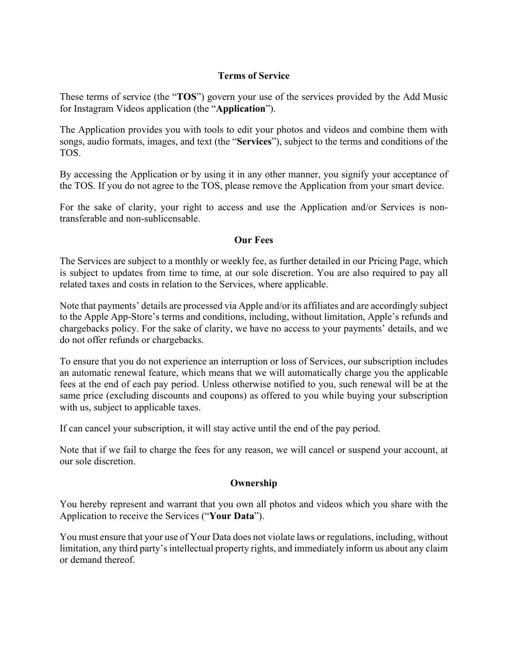## **Terms of Service**

These terms of service (the "**TOS**") govern your use of the services provided by the Add Music for Instagram Videos application (the "**Application**").

The Application provides you with tools to edit your photos and videos and combine them with songs, audio formats, images, and text (the "**Services**"), subject to the terms and conditions of the TOS.

By accessing the Application or by using it in any other manner, you signify your acceptance of the TOS. If you do not agree to the TOS, please remove the Application from your smart device.

For the sake of clarity, your right to access and use the Application and/or Services is nontransferable and non-sublicensable.

## **Our Fees**

The Services are subject to a monthly or weekly fee, as further detailed in our Pricing Page, which is subject to updates from time to time, at our sole discretion. You are also required to pay all related taxes and costs in relation to the Services, where applicable.

Note that payments' details are processed via Apple and/or its affiliates and are accordingly subject to the Apple App-Store's terms and conditions, including, without limitation, Apple's refunds and chargebacks policy. For the sake of clarity, we have no access to your payments' details, and we do not offer refunds or chargebacks.

To ensure that you do not experience an interruption or loss of Services, our subscription includes an automatic renewal feature, which means that we will automatically charge you the applicable fees at the end of each pay period. Unless otherwise notified to you, such renewal will be at the same price (excluding discounts and coupons) as offered to you while buying your subscription with us, subject to applicable taxes.

If can cancel your subscription, it will stay active until the end of the pay period.

Note that if we fail to charge the fees for any reason, we will cancel or suspend your account, at our sole discretion.

## **Ownership**

You hereby represent and warrant that you own all photos and videos which you share with the Application to receive the Services ("**Your Data**").

You must ensure that your use of Your Data does not violate laws or regulations, including, without limitation, any third party's intellectual property rights, and immediately inform us about any claim or demand thereof.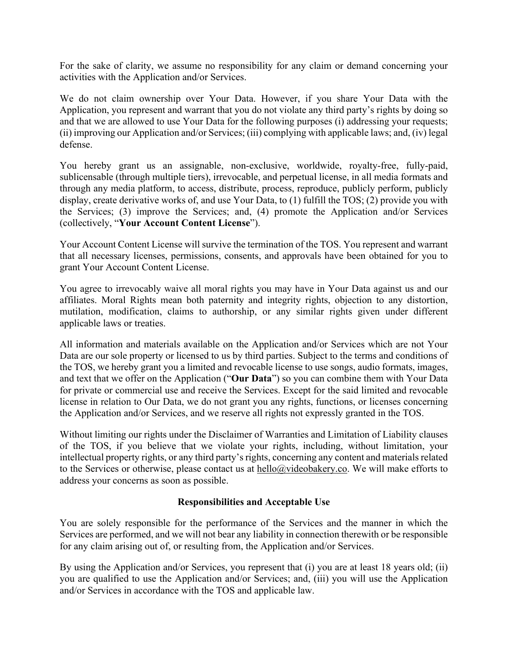For the sake of clarity, we assume no responsibility for any claim or demand concerning your activities with the Application and/or Services.

We do not claim ownership over Your Data. However, if you share Your Data with the Application, you represent and warrant that you do not violate any third party's rights by doing so and that we are allowed to use Your Data for the following purposes (i) addressing your requests; (ii) improving our Application and/or Services; (iii) complying with applicable laws; and, (iv) legal defense.

You hereby grant us an assignable, non-exclusive, worldwide, royalty-free, fully-paid, sublicensable (through multiple tiers), irrevocable, and perpetual license, in all media formats and through any media platform, to access, distribute, process, reproduce, publicly perform, publicly display, create derivative works of, and use Your Data, to (1) fulfill the TOS; (2) provide you with the Services; (3) improve the Services; and, (4) promote the Application and/or Services (collectively, "**Your Account Content License**").

Your Account Content License will survive the termination of the TOS. You represent and warrant that all necessary licenses, permissions, consents, and approvals have been obtained for you to grant Your Account Content License.

You agree to irrevocably waive all moral rights you may have in Your Data against us and our affiliates. Moral Rights mean both paternity and integrity rights, objection to any distortion, mutilation, modification, claims to authorship, or any similar rights given under different applicable laws or treaties.

All information and materials available on the Application and/or Services which are not Your Data are our sole property or licensed to us by third parties. Subject to the terms and conditions of the TOS, we hereby grant you a limited and revocable license to use songs, audio formats, images, and text that we offer on the Application ("**Our Data**") so you can combine them with Your Data for private or commercial use and receive the Services. Except for the said limited and revocable license in relation to Our Data, we do not grant you any rights, functions, or licenses concerning the Application and/or Services, and we reserve all rights not expressly granted in the TOS.

Without limiting our rights under the Disclaimer of Warranties and Limitation of Liability clauses of the TOS, if you believe that we violate your rights, including, without limitation, your intellectual property rights, or any third party's rights, concerning any content and materials related to the Services or otherwise, please contact us at hello@videobakery.co. We will make efforts to address your concerns as soon as possible.

# **Responsibilities and Acceptable Use**

You are solely responsible for the performance of the Services and the manner in which the Services are performed, and we will not bear any liability in connection therewith or be responsible for any claim arising out of, or resulting from, the Application and/or Services.

By using the Application and/or Services, you represent that (i) you are at least 18 years old; (ii) you are qualified to use the Application and/or Services; and, (iii) you will use the Application and/or Services in accordance with the TOS and applicable law.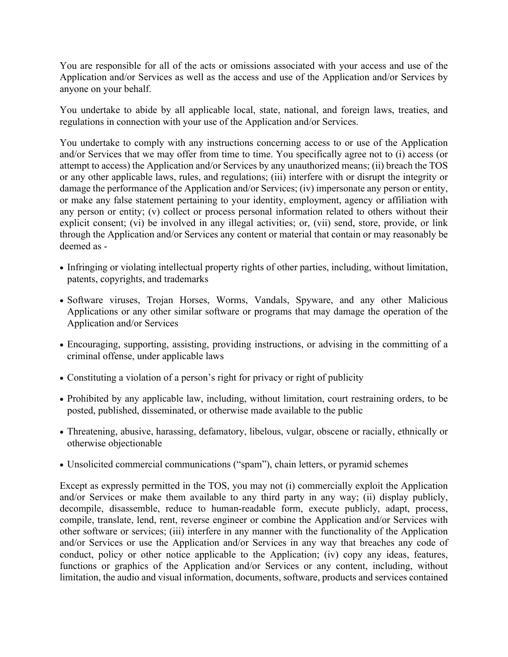You are responsible for all of the acts or omissions associated with your access and use of the Application and/or Services as well as the access and use of the Application and/or Services by anyone on your behalf.

You undertake to abide by all applicable local, state, national, and foreign laws, treaties, and regulations in connection with your use of the Application and/or Services.

You undertake to comply with any instructions concerning access to or use of the Application and/or Services that we may offer from time to time. You specifically agree not to (i) access (or attempt to access) the Application and/or Services by any unauthorized means; (ii) breach the TOS or any other applicable laws, rules, and regulations; (iii) interfere with or disrupt the integrity or damage the performance of the Application and/or Services; (iv) impersonate any person or entity, or make any false statement pertaining to your identity, employment, agency or affiliation with any person or entity; (v) collect or process personal information related to others without their explicit consent; (vi) be involved in any illegal activities; or, (vii) send, store, provide, or link through the Application and/or Services any content or material that contain or may reasonably be deemed as -

- Infringing or violating intellectual property rights of other parties, including, without limitation, patents, copyrights, and trademarks
- Software viruses, Trojan Horses, Worms, Vandals, Spyware, and any other Malicious Applications or any other similar software or programs that may damage the operation of the Application and/or Services
- Encouraging, supporting, assisting, providing instructions, or advising in the committing of a criminal offense, under applicable laws
- Constituting a violation of a person's right for privacy or right of publicity
- Prohibited by any applicable law, including, without limitation, court restraining orders, to be posted, published, disseminated, or otherwise made available to the public
- Threatening, abusive, harassing, defamatory, libelous, vulgar, obscene or racially, ethnically or otherwise objectionable
- Unsolicited commercial communications ("spam"), chain letters, or pyramid schemes

Except as expressly permitted in the TOS, you may not (i) commercially exploit the Application and/or Services or make them available to any third party in any way; (ii) display publicly, decompile, disassemble, reduce to human-readable form, execute publicly, adapt, process, compile, translate, lend, rent, reverse engineer or combine the Application and/or Services with other software or services; (iii) interfere in any manner with the functionality of the Application and/or Services or use the Application and/or Services in any way that breaches any code of conduct, policy or other notice applicable to the Application; (iv) copy any ideas, features, functions or graphics of the Application and/or Services or any content, including, without limitation, the audio and visual information, documents, software, products and services contained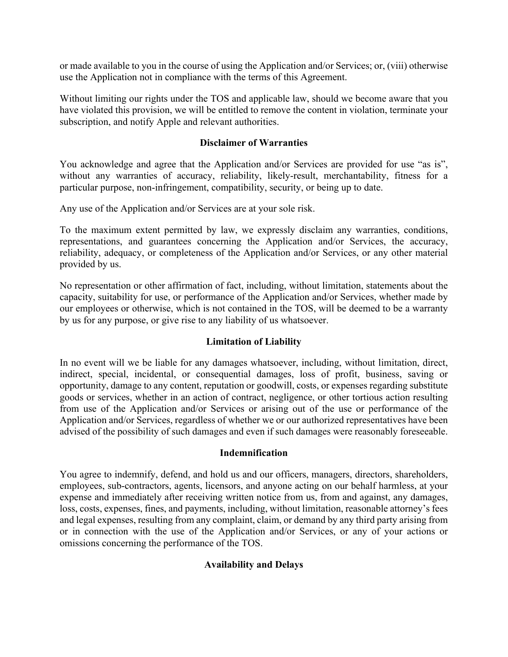or made available to you in the course of using the Application and/or Services; or, (viii) otherwise use the Application not in compliance with the terms of this Agreement.

Without limiting our rights under the TOS and applicable law, should we become aware that you have violated this provision, we will be entitled to remove the content in violation, terminate your subscription, and notify Apple and relevant authorities.

## **Disclaimer of Warranties**

You acknowledge and agree that the Application and/or Services are provided for use "as is", without any warranties of accuracy, reliability, likely-result, merchantability, fitness for a particular purpose, non-infringement, compatibility, security, or being up to date.

Any use of the Application and/or Services are at your sole risk.

To the maximum extent permitted by law, we expressly disclaim any warranties, conditions, representations, and guarantees concerning the Application and/or Services, the accuracy, reliability, adequacy, or completeness of the Application and/or Services, or any other material provided by us.

No representation or other affirmation of fact, including, without limitation, statements about the capacity, suitability for use, or performance of the Application and/or Services, whether made by our employees or otherwise, which is not contained in the TOS, will be deemed to be a warranty by us for any purpose, or give rise to any liability of us whatsoever.

## **Limitation of Liability**

In no event will we be liable for any damages whatsoever, including, without limitation, direct, indirect, special, incidental, or consequential damages, loss of profit, business, saving or opportunity, damage to any content, reputation or goodwill, costs, or expenses regarding substitute goods or services, whether in an action of contract, negligence, or other tortious action resulting from use of the Application and/or Services or arising out of the use or performance of the Application and/or Services, regardless of whether we or our authorized representatives have been advised of the possibility of such damages and even if such damages were reasonably foreseeable.

## **Indemnification**

You agree to indemnify, defend, and hold us and our officers, managers, directors, shareholders, employees, sub-contractors, agents, licensors, and anyone acting on our behalf harmless, at your expense and immediately after receiving written notice from us, from and against, any damages, loss, costs, expenses, fines, and payments, including, without limitation, reasonable attorney's fees and legal expenses, resulting from any complaint, claim, or demand by any third party arising from or in connection with the use of the Application and/or Services, or any of your actions or omissions concerning the performance of the TOS.

# **Availability and Delays**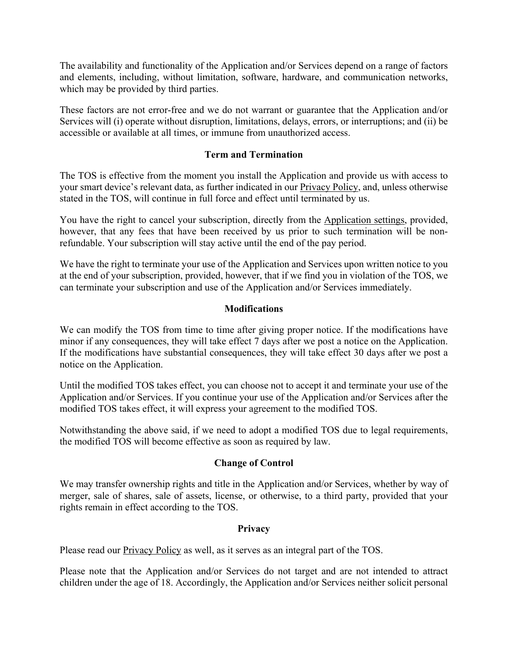The availability and functionality of the Application and/or Services depend on a range of factors and elements, including, without limitation, software, hardware, and communication networks, which may be provided by third parties.

These factors are not error-free and we do not warrant or guarantee that the Application and/or Services will (i) operate without disruption, limitations, delays, errors, or interruptions; and (ii) be accessible or available at all times, or immune from unauthorized access.

## **Term and Termination**

The TOS is effective from the moment you install the Application and provide us with access to your smart device's relevant data, as further indicated in our Privacy Policy, and, unless otherwise stated in the TOS, will continue in full force and effect until terminated by us.

You have the right to cancel your subscription, directly from the Application settings, provided, however, that any fees that have been received by us prior to such termination will be nonrefundable. Your subscription will stay active until the end of the pay period.

We have the right to terminate your use of the Application and Services upon written notice to you at the end of your subscription, provided, however, that if we find you in violation of the TOS, we can terminate your subscription and use of the Application and/or Services immediately.

# **Modifications**

We can modify the TOS from time to time after giving proper notice. If the modifications have minor if any consequences, they will take effect 7 days after we post a notice on the Application. If the modifications have substantial consequences, they will take effect 30 days after we post a notice on the Application.

Until the modified TOS takes effect, you can choose not to accept it and terminate your use of the Application and/or Services. If you continue your use of the Application and/or Services after the modified TOS takes effect, it will express your agreement to the modified TOS.

Notwithstanding the above said, if we need to adopt a modified TOS due to legal requirements, the modified TOS will become effective as soon as required by law.

## **Change of Control**

We may transfer ownership rights and title in the Application and/or Services, whether by way of merger, sale of shares, sale of assets, license, or otherwise, to a third party, provided that your rights remain in effect according to the TOS.

## **Privacy**

Please read our **Privacy Policy** as well, as it serves as an integral part of the TOS.

Please note that the Application and/or Services do not target and are not intended to attract children under the age of 18. Accordingly, the Application and/or Services neither solicit personal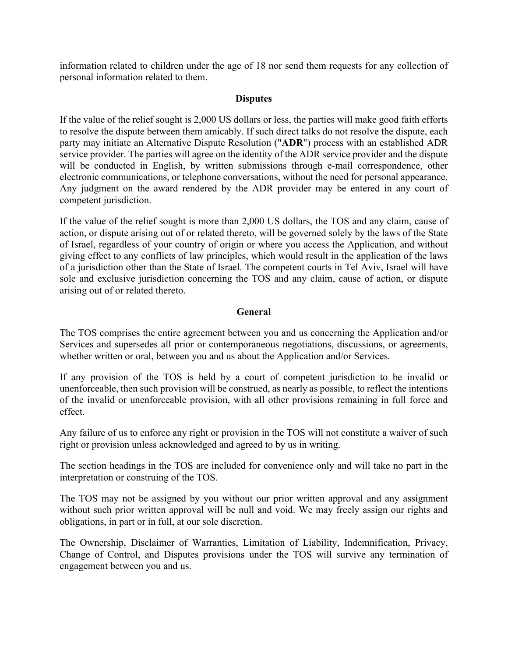information related to children under the age of 18 nor send them requests for any collection of personal information related to them.

## **Disputes**

If the value of the relief sought is 2,000 US dollars or less, the parties will make good faith efforts to resolve the dispute between them amicably. If such direct talks do not resolve the dispute, each party may initiate an Alternative Dispute Resolution ("**ADR**") process with an established ADR service provider. The parties will agree on the identity of the ADR service provider and the dispute will be conducted in English, by written submissions through e-mail correspondence, other electronic communications, or telephone conversations, without the need for personal appearance. Any judgment on the award rendered by the ADR provider may be entered in any court of competent jurisdiction.

If the value of the relief sought is more than 2,000 US dollars, the TOS and any claim, cause of action, or dispute arising out of or related thereto, will be governed solely by the laws of the State of Israel, regardless of your country of origin or where you access the Application, and without giving effect to any conflicts of law principles, which would result in the application of the laws of a jurisdiction other than the State of Israel. The competent courts in Tel Aviv, Israel will have sole and exclusive jurisdiction concerning the TOS and any claim, cause of action, or dispute arising out of or related thereto.

## **General**

The TOS comprises the entire agreement between you and us concerning the Application and/or Services and supersedes all prior or contemporaneous negotiations, discussions, or agreements, whether written or oral, between you and us about the Application and/or Services.

If any provision of the TOS is held by a court of competent jurisdiction to be invalid or unenforceable, then such provision will be construed, as nearly as possible, to reflect the intentions of the invalid or unenforceable provision, with all other provisions remaining in full force and effect.

Any failure of us to enforce any right or provision in the TOS will not constitute a waiver of such right or provision unless acknowledged and agreed to by us in writing.

The section headings in the TOS are included for convenience only and will take no part in the interpretation or construing of the TOS.

The TOS may not be assigned by you without our prior written approval and any assignment without such prior written approval will be null and void. We may freely assign our rights and obligations, in part or in full, at our sole discretion.

The Ownership, Disclaimer of Warranties, Limitation of Liability, Indemnification, Privacy, Change of Control, and Disputes provisions under the TOS will survive any termination of engagement between you and us.